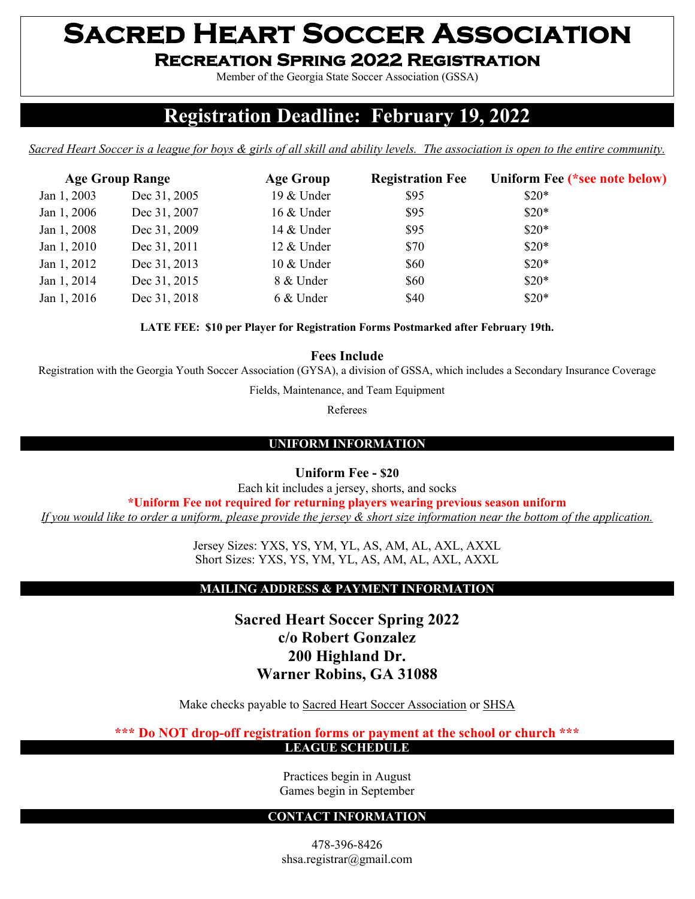# **Sacred Heart Soccer Association Recreation Spring 2022 Registration**

Member of the Georgia State Soccer Association (GSSA)

# **Registration Deadline: February 19, 2022**

*Sacred Heart Soccer is a league for boys & girls of all skill and ability levels. The association is open to the entire community.*

| <b>Age Group Range</b> |              | <b>Age Group</b> | <b>Registration Fee</b> | Uniform Fee (*see note below) |
|------------------------|--------------|------------------|-------------------------|-------------------------------|
| Jan 1, 2003            | Dec 31, 2005 | 19 & Under       | \$95                    | $$20*$                        |
| Jan 1, 2006            | Dec 31, 2007 | 16 & Under       | \$95                    | $\$20*$                       |
| Jan 1, 2008            | Dec 31, 2009 | 14 & Under       | \$95                    | $$20*$                        |
| Jan 1, 2010            | Dec 31, 2011 | 12 & Under       | \$70                    | $$20*$                        |
| Jan 1, 2012            | Dec 31, 2013 | 10 & Under       | \$60                    | $$20*$                        |
| Jan 1, 2014            | Dec 31, 2015 | 8 & Under        | \$60                    | $$20*$                        |
| Jan 1, 2016            | Dec 31, 2018 | 6 & Under        | \$40                    | $$20*$                        |

**LATE FEE: \$10 per Player for Registration Forms Postmarked after February 19th.**

**Fees Include**

Registration with the Georgia Youth Soccer Association (GYSA), a division of GSSA, which includes a Secondary Insurance Coverage

Fields, Maintenance, and Team Equipment

Referees

### **UNIFORM INFORMATION**

**Uniform Fee - \$20**

Each kit includes a jersey, shorts, and socks

**\*Uniform Fee not required for returning players wearing previous season uniform** 

*If you would like to order a uniform, please provide the jersey & short size information near the bottom of the application.*

Jersey Sizes: YXS, YS, YM, YL, AS, AM, AL, AXL, AXXL Short Sizes: YXS, YS, YM, YL, AS, AM, AL, AXL, AXXL

#### **MAILING ADDRESS & PAYMENT INFORMATION**

**Sacred Heart Soccer Spring 2022 c/o Robert Gonzalez 200 Highland Dr. Warner Robins, GA 31088**

Make checks payable to Sacred Heart Soccer Association or SHSA

**\*\*\* Do NOT drop-off registration forms or payment at the school or church \*\*\***

**LEAGUE SCHEDULE**

Practices begin in August Games begin in September

#### **CONTACT INFORMATION**

478-396-8426 shsa.registrar@gmail.com